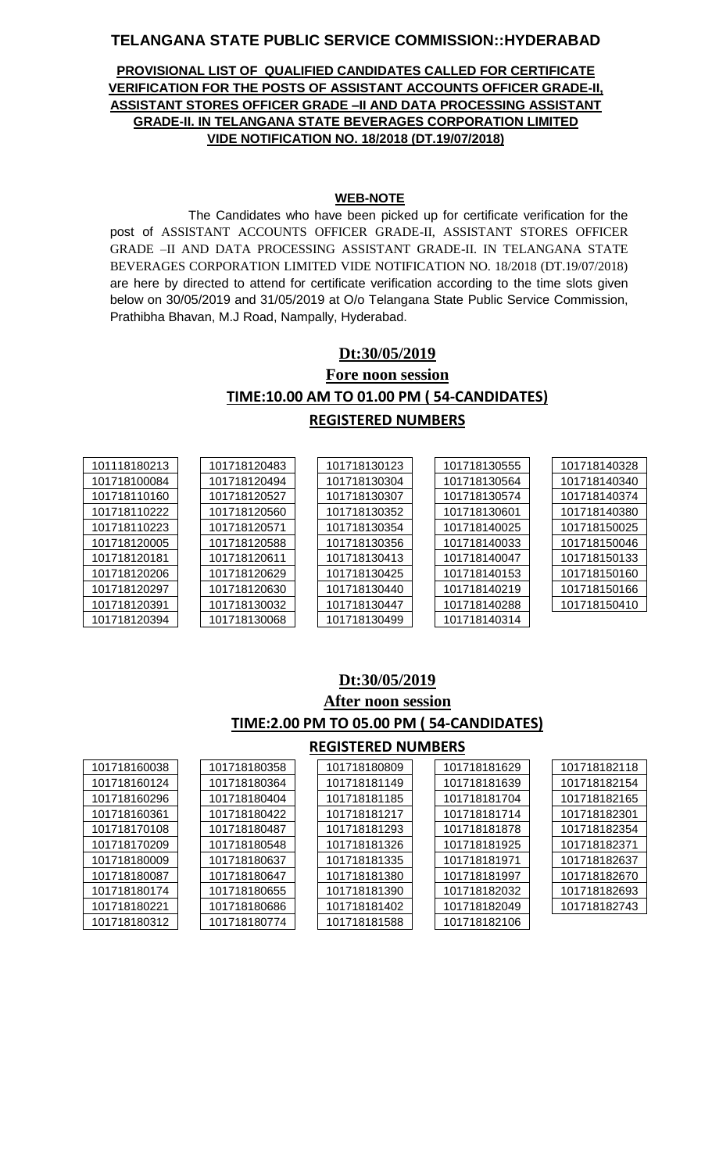### **TELANGANA STATE PUBLIC SERVICE COMMISSION::HYDERABAD**

#### **PROVISIONAL LIST OF QUALIFIED CANDIDATES CALLED FOR CERTIFICATE VERIFICATION FOR THE POSTS OF ASSISTANT ACCOUNTS OFFICER GRADE-II, ASSISTANT STORES OFFICER GRADE –II AND DATA PROCESSING ASSISTANT GRADE-II. IN TELANGANA STATE BEVERAGES CORPORATION LIMITED VIDE NOTIFICATION NO. 18/2018 (DT.19/07/2018)**

#### **WEB-NOTE**

The Candidates who have been picked up for certificate verification for the post of ASSISTANT ACCOUNTS OFFICER GRADE-II, ASSISTANT STORES OFFICER GRADE –II AND DATA PROCESSING ASSISTANT GRADE-II. IN TELANGANA STATE BEVERAGES CORPORATION LIMITED VIDE NOTIFICATION NO. 18/2018 (DT.19/07/2018) are here by directed to attend for certificate verification according to the time slots given below on 30/05/2019 and 31/05/2019 at O/o Telangana State Public Service Commission, Prathibha Bhavan, M.J Road, Nampally, Hyderabad.

# **Dt:30/05/2019 Fore noon session TIME:10.00 AM TO 01.00 PM ( 54-CANDIDATES) REGISTERED NUMBERS**

| 101118180213 | 101718120483 | 101718130123 | 101718130555 | 101718140328 |
|--------------|--------------|--------------|--------------|--------------|
| 101718100084 | 101718120494 | 101718130304 | 101718130564 | 101718140340 |
| 101718110160 | 101718120527 | 101718130307 | 101718130574 | 101718140374 |
| 101718110222 | 101718120560 | 101718130352 | 101718130601 | 101718140380 |
| 101718110223 | 101718120571 | 101718130354 | 101718140025 | 101718150025 |
| 101718120005 | 101718120588 | 101718130356 | 101718140033 | 101718150046 |
| 101718120181 | 101718120611 | 101718130413 | 101718140047 | 101718150133 |
| 101718120206 | 101718120629 | 101718130425 | 101718140153 | 101718150160 |
| 101718120297 | 101718120630 | 101718130440 | 101718140219 | 101718150166 |
| 101718120391 | 101718130032 | 101718130447 | 101718140288 | 101718150410 |
| 101718120394 | 101718130068 | 101718130499 | 101718140314 |              |

# **Dt:30/05/2019 After noon session TIME:2.00 PM TO 05.00 PM ( 54-CANDIDATES)**

### **REGISTERED NUMBERS**

| 101718160038 | 101718180358 | 101718180809 | 101718181629 | 101718182118 |
|--------------|--------------|--------------|--------------|--------------|
| 101718160124 | 101718180364 | 101718181149 | 101718181639 | 101718182154 |
| 101718160296 | 101718180404 | 101718181185 | 101718181704 | 101718182165 |
| 101718160361 | 101718180422 | 101718181217 | 101718181714 | 101718182301 |
| 101718170108 | 101718180487 | 101718181293 | 101718181878 | 101718182354 |
| 101718170209 | 101718180548 | 101718181326 | 101718181925 | 101718182371 |
| 101718180009 | 101718180637 | 101718181335 | 101718181971 | 101718182637 |
| 101718180087 | 101718180647 | 101718181380 | 101718181997 | 101718182670 |
| 101718180174 | 101718180655 | 101718181390 | 101718182032 | 101718182693 |
| 101718180221 | 101718180686 | 101718181402 | 101718182049 | 101718182743 |
| 101718180312 | 101718180774 | 101718181588 | 101718182106 |              |